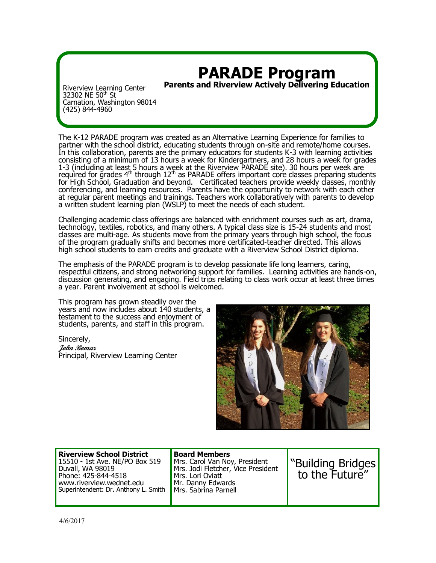# **PARADE Program Parents and Riverview Actively Delivering Education**

Riverview Learning Center 32302 NE 50<sup>th</sup> St Carnation, Washington 98014 (425) 844-4960

The K-12 PARADE program was created as an Alternative Learning Experience for families to partner with the school district, educating students through on-site and remote/home courses. In this collaboration, parents are the primary educators for students K-3 with learning activities consisting of a minimum of 13 hours a week for Kindergartners, and 28 hours a week for grades 1-3 (including at least 5 hours a week at the Riverview PARADE site). 30 hours per week are required for grades  $4<sup>th</sup>$  through  $12<sup>th</sup>$  as PARADE offers important core classes preparing students for High School, Graduation and beyond. Certificated teachers provide weekly classes, monthly conferencing, and learning resources. Parents have the opportunity to network with each other at regular parent meetings and trainings. Teachers work collaboratively with parents to develop a written student learning plan (WSLP) to meet the needs of each student.

Challenging academic class offerings are balanced with enrichment courses such as art, drama, technology, textiles, robotics, and many others. A typical class size is 15-24 students and most classes are multi-age. As students move from the primary years through high school, the focus of the program gradually shifts and becomes more certificated-teacher directed. This allows high school students to earn credits and graduate with a Riverview School District diploma.

The emphasis of the PARADE program is to develop passionate life long learners, caring, respectful citizens, and strong networking support for families. Learning activities are hands-on, discussion generating, and engaging. Field trips relating to class work occur at least three times a year. Parent involvement at school is welcomed.

This program has grown steadily over the years and now includes about 140 students, a testament to the success and enjoyment of students, parents, and staff in this program.

Sincerely, **John Bomar** Principal, Riverview Learning Center



| <b>Riverview School District</b>     |
|--------------------------------------|
| 15510 - 1st Ave. NE/PO Box 519       |
| Duvall, WA 98019                     |
| Phone: 425-844-4518                  |
| www.riverview.wednet.edu             |
| Superintendent: Dr. Anthony L. Smith |

**Board Members** Mrs. Carol Van Noy, President Mrs. Jodi Fletcher, Vice President Mrs. Lori Oviatt Mr. Danny Edwards Mrs. Sabrina Parnell

"Building Bridges to the Future"